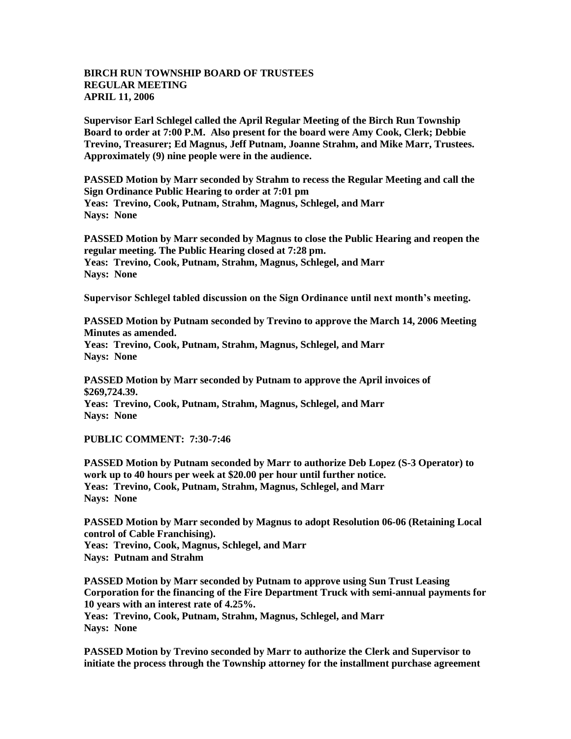## **BIRCH RUN TOWNSHIP BOARD OF TRUSTEES REGULAR MEETING APRIL 11, 2006**

**Supervisor Earl Schlegel called the April Regular Meeting of the Birch Run Township Board to order at 7:00 P.M. Also present for the board were Amy Cook, Clerk; Debbie Trevino, Treasurer; Ed Magnus, Jeff Putnam, Joanne Strahm, and Mike Marr, Trustees. Approximately (9) nine people were in the audience.** 

**PASSED Motion by Marr seconded by Strahm to recess the Regular Meeting and call the Sign Ordinance Public Hearing to order at 7:01 pm Yeas: Trevino, Cook, Putnam, Strahm, Magnus, Schlegel, and Marr Nays: None**

**PASSED Motion by Marr seconded by Magnus to close the Public Hearing and reopen the regular meeting. The Public Hearing closed at 7:28 pm. Yeas: Trevino, Cook, Putnam, Strahm, Magnus, Schlegel, and Marr Nays: None**

**Supervisor Schlegel tabled discussion on the Sign Ordinance until next month's meeting.**

**PASSED Motion by Putnam seconded by Trevino to approve the March 14, 2006 Meeting Minutes as amended.**

**Yeas: Trevino, Cook, Putnam, Strahm, Magnus, Schlegel, and Marr Nays: None**

**PASSED Motion by Marr seconded by Putnam to approve the April invoices of \$269,724.39. Yeas: Trevino, Cook, Putnam, Strahm, Magnus, Schlegel, and Marr Nays: None**

**PUBLIC COMMENT: 7:30-7:46**

**PASSED Motion by Putnam seconded by Marr to authorize Deb Lopez (S-3 Operator) to work up to 40 hours per week at \$20.00 per hour until further notice. Yeas: Trevino, Cook, Putnam, Strahm, Magnus, Schlegel, and Marr Nays: None**

**PASSED Motion by Marr seconded by Magnus to adopt Resolution 06-06 (Retaining Local control of Cable Franchising).**

**Yeas: Trevino, Cook, Magnus, Schlegel, and Marr Nays: Putnam and Strahm**

**PASSED Motion by Marr seconded by Putnam to approve using Sun Trust Leasing Corporation for the financing of the Fire Department Truck with semi-annual payments for 10 years with an interest rate of 4.25%. Yeas: Trevino, Cook, Putnam, Strahm, Magnus, Schlegel, and Marr**

**Nays: None**

**PASSED Motion by Trevino seconded by Marr to authorize the Clerk and Supervisor to initiate the process through the Township attorney for the installment purchase agreement**